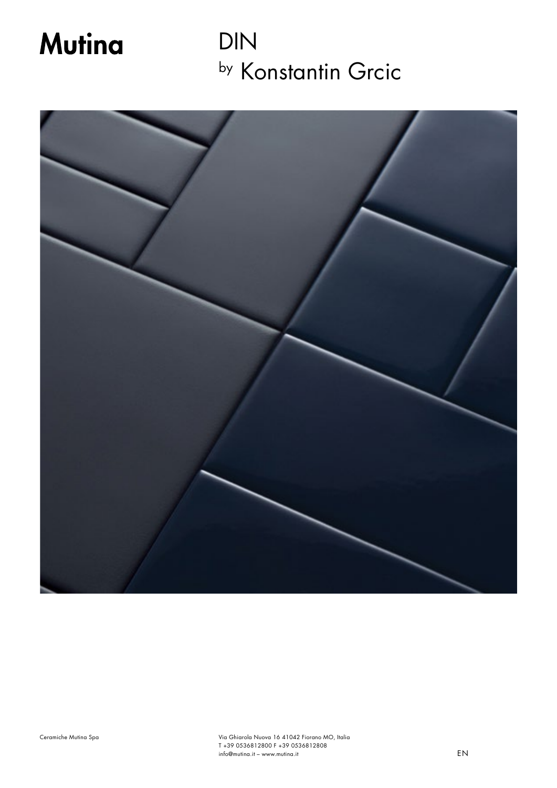# **Mutina**

DIN by Konstantin Grcic

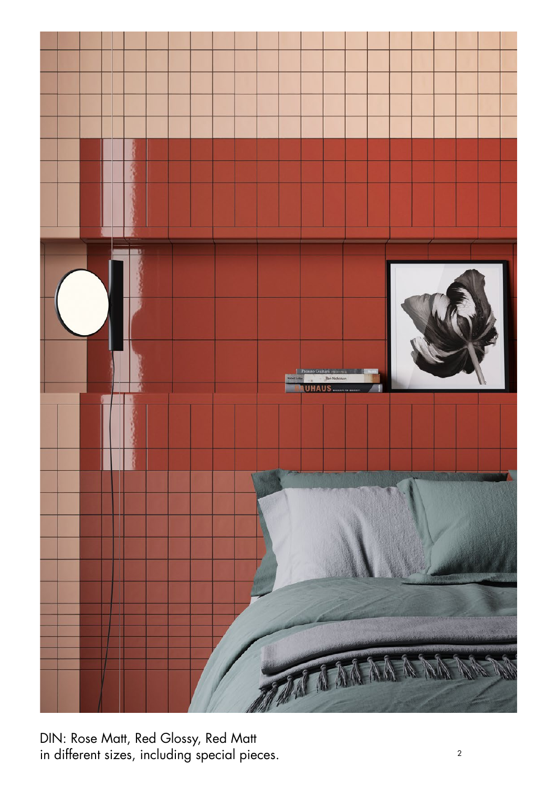

DIN: Rose Matt, Red Glossy, Red Matt in different sizes, including special pieces.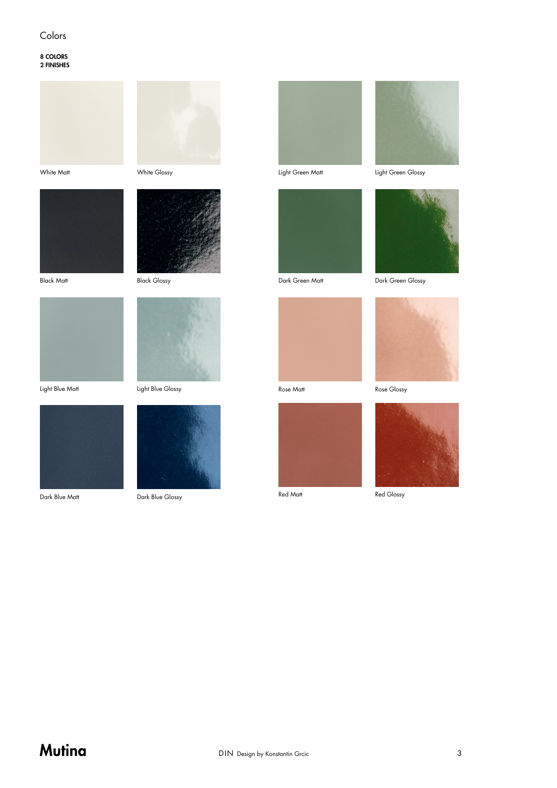#### Colors

8 COLORS 2 FINISHES



White Matt





Black Matt

Black Glossy



Light Blue Glossy





Light Green Matt



Dark Green Matt

Rose Matt

Red Matt





Dark Green Glossy





Red Glossy

Light Blue Matt



Dark Blue Matt

Dark Blue Glossy

## Mutina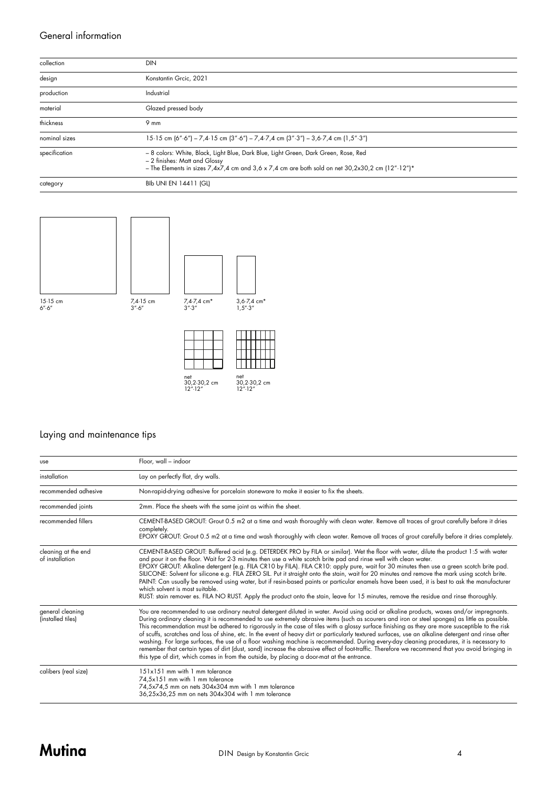#### General information

| collection    | <b>DIN</b>                                                                                                                                                                                                                               |
|---------------|------------------------------------------------------------------------------------------------------------------------------------------------------------------------------------------------------------------------------------------|
| design        | Konstantin Grcic, 2021                                                                                                                                                                                                                   |
| production    | Industrial                                                                                                                                                                                                                               |
| material      | Glazed pressed body                                                                                                                                                                                                                      |
| thickness     | $9 \text{ mm}$                                                                                                                                                                                                                           |
| nominal sizes | 15.15 cm $(6\degree \cdot 6\degree)$ – 7,4.15 cm $(3\degree \cdot 6\degree)$ – 7,4.7,4 cm $(3\degree \cdot 3\degree)$ – 3,6.7,4 cm $(1.5\degree \cdot 3\degree)$                                                                         |
| specification | - 8 colors: White, Black, Light Blue, Dark Blue, Light Green, Dark Green, Rose, Red<br>- 2 finishes: Matt and Glossy<br>- The Elements in sizes $7.4x7.4$ cm and $3.6 \times 7.4$ cm are both sold on net $30.2x30.2$ cm $(12''.12'')$ * |
| category      | <b>BIb UNI EN 14411 (GL)</b>                                                                                                                                                                                                             |





net 30,2·30,2 cm 12"·12" net 30,2·30,2 cm 12"·12"

#### Laying and maintenance tips

| use                                    | Floor, wall - indoor                                                                                                                                                                                                                                                                                                                                                                                                                                                                                                                                                                                                                                                                                                                                                                                                                                                                                                                                                                                |
|----------------------------------------|-----------------------------------------------------------------------------------------------------------------------------------------------------------------------------------------------------------------------------------------------------------------------------------------------------------------------------------------------------------------------------------------------------------------------------------------------------------------------------------------------------------------------------------------------------------------------------------------------------------------------------------------------------------------------------------------------------------------------------------------------------------------------------------------------------------------------------------------------------------------------------------------------------------------------------------------------------------------------------------------------------|
| installation                           | Lay on perfectly flat, dry walls.                                                                                                                                                                                                                                                                                                                                                                                                                                                                                                                                                                                                                                                                                                                                                                                                                                                                                                                                                                   |
| recommended adhesive                   | Non-rapid-drying adhesive for porcelain stoneware to make it easier to fix the sheets.                                                                                                                                                                                                                                                                                                                                                                                                                                                                                                                                                                                                                                                                                                                                                                                                                                                                                                              |
| recommended joints                     | 2mm. Place the sheets with the same joint as within the sheet.                                                                                                                                                                                                                                                                                                                                                                                                                                                                                                                                                                                                                                                                                                                                                                                                                                                                                                                                      |
| recommended fillers                    | CEMENT-BASED GROUT: Grout 0.5 m2 at a time and wash thoroughly with clean water. Remove all traces of grout carefully before it dries<br>completely.<br>EPOXY GROUT: Grout 0.5 m2 at a time and wash thoroughly with clean water. Remove all traces of grout carefully before it dries completely.                                                                                                                                                                                                                                                                                                                                                                                                                                                                                                                                                                                                                                                                                                  |
| cleaning at the end<br>of installation | CEMENT-BASED GROUT: Buffered acid (e.g. DETERDEK PRO by FILA or similar). Wet the floor with water, dilute the product 1:5 with water<br>and pour it on the floor. Wait for 2-3 minutes then use a white scotch brite pad and rinse well with clean water.<br>EPOXY GROUT: Alkaline detergent (e.g. FILA CR10 by FILA). FILA CR10: apply pure, wait for 30 minutes then use a green scotch brite pad.<br>SILICONE: Solvent for silicone e.g. FILA ZERO SIL. Put it straight onto the stain, wait for 20 minutes and remove the mark using scotch brite.<br>PAINT: Can usually be removed using water, but if resin-based paints or particular enamels have been used, it is best to ask the manufacturer<br>which solvent is most suitable.<br>RUST: stain remover es. FILA NO RUST. Apply the product onto the stain, leave for 15 minutes, remove the residue and rinse thoroughly.                                                                                                               |
| general cleaning<br>(installed tiles)  | You are recommended to use ordinary neutral detergent diluted in water. Avoid using acid or alkaline products, waxes and/or impregnants.<br>During ordinary cleaning it is recommended to use extremely abrasive items (such as scourers and iron or steel sponges) as little as possible.<br>This recommendation must be adhered to rigorously in the case of tiles with a glossy surface finishing as they are more susceptible to the risk<br>of scuffs, scratches and loss of shine, etc. In the event of heavy dirt or particularly textured surfaces, use an alkaline detergent and rinse after<br>washing. For large surfaces, the use of a floor washing machine is recommended. During every-day cleaning procedures, it is necessary to<br>remember that certain types of dirt (dust, sand) increase the abrasive effect of foot-traffic. Therefore we recommend that you avoid bringing in<br>this type of dirt, which comes in from the outside, by placing a door-mat at the entrance. |
| calibers (real size)                   | 151x151 mm with 1 mm tolerance<br>74,5x151 mm with 1 mm tolerance<br>74,5x74,5 mm on nets 304x304 mm with 1 mm tolerance<br>36,25x36,25 mm on nets 304x304 with 1 mm tolerance                                                                                                                                                                                                                                                                                                                                                                                                                                                                                                                                                                                                                                                                                                                                                                                                                      |